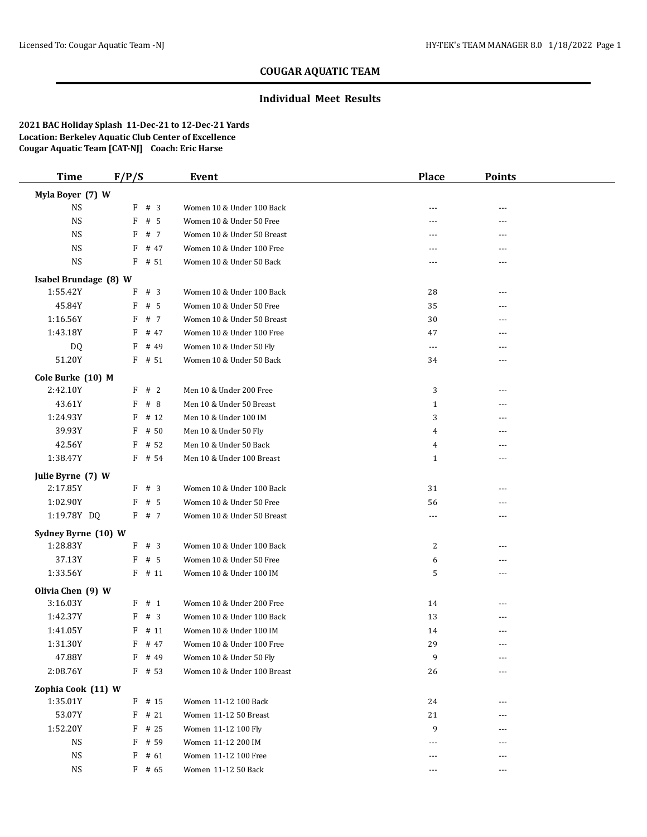## **Individual Meet Results**

| <b>Time</b>                     | F/P/S  |                | Event                                         | <b>Place</b> | <b>Points</b> |  |
|---------------------------------|--------|----------------|-----------------------------------------------|--------------|---------------|--|
| Myla Boyer (7) W                |        |                |                                               |              |               |  |
| <b>NS</b>                       |        | F # 3          | Women 10 & Under 100 Back                     | $- - -$      | ---           |  |
| $_{\rm NS}$                     | F      | # 5            | Women 10 & Under 50 Free                      | $---$        | ---           |  |
| <b>NS</b>                       | F      | # 7            | Women 10 & Under 50 Breast                    | ---          | ---           |  |
| <b>NS</b>                       | F      | # 47           | Women 10 & Under 100 Free                     | $---$        | ---           |  |
| $_{\rm NS}$                     |        | $F$ # 51       | Women 10 & Under 50 Back                      | $---$        | ---           |  |
| Isabel Brundage (8) W           |        |                |                                               |              |               |  |
| 1:55.42Y                        | F      | #3             | Women 10 & Under 100 Back                     | 28           | $---$         |  |
| 45.84Y                          | F      | # 5            | Women 10 & Under 50 Free                      | 35           | ---           |  |
| 1:16.56Y                        | F      | # 7            | Women 10 & Under 50 Breast                    | 30           | ---           |  |
| 1:43.18Y                        | F      | # 47           | Women 10 & Under 100 Free                     | 47           |               |  |
| DQ                              | F      | # 49           | Women 10 & Under 50 Fly                       | $\cdots$     | ---           |  |
| 51.20Y                          |        | $F$ # 51       | Women 10 & Under 50 Back                      | 34           | ---           |  |
| Cole Burke (10) M               |        |                |                                               |              |               |  |
| 2:42.10Y                        |        | F # 2          | Men 10 & Under 200 Free                       | 3            | ---           |  |
| 43.61Y                          | F      | #8             | Men 10 & Under 50 Breast                      | $\mathbf{1}$ | ---           |  |
| 1:24.93Y                        | F      | # 12           | Men 10 & Under 100 IM                         | 3            | ---           |  |
| 39.93Y                          | F      | # 50           | Men 10 & Under 50 Fly                         | 4            |               |  |
| 42.56Y                          | F      | # 52           | Men 10 & Under 50 Back                        | 4            | ---           |  |
| 1:38.47Y                        |        | $F$ # 54       | Men 10 & Under 100 Breast                     | $\mathbf{1}$ | ---           |  |
| Julie Byrne (7) W               |        |                |                                               |              |               |  |
| 2:17.85Y                        |        | $F$ # 3        | Women 10 & Under 100 Back                     | 31           | ---           |  |
| 1:02.90Y                        | F      | # 5            | Women 10 & Under 50 Free                      | 56           | ---           |  |
| 1:19.78Y DQ                     |        | F # 7          | Women 10 & Under 50 Breast                    | ---          | ---           |  |
|                                 |        |                |                                               |              |               |  |
| Sydney Byrne (10) W<br>1:28.83Y |        | F # 3          | Women 10 & Under 100 Back                     | 2            | ---           |  |
| 37.13Y                          | F      | # 5            | Women 10 & Under 50 Free                      | 6            | ---           |  |
| 1:33.56Y                        |        | $F$ # 11       | Women 10 & Under 100 IM                       | 5            | ---           |  |
|                                 |        |                |                                               |              |               |  |
| Olivia Chen (9) W<br>3:16.03Y   |        | $F$ # 1        | Women 10 & Under 200 Free                     |              |               |  |
| 1:42.37Y                        | F      | #3             | Women 10 & Under 100 Back                     | 14<br>13     | ---<br>---    |  |
| 1:41.05Y                        |        | $F$ # 11       | Women 10 & Under 100 IM                       | 14           | ---           |  |
| 1:31.30Y                        |        | $F$ # 47       | Women 10 & Under 100 Free                     | 29           | ---           |  |
| 47.88Y                          |        | F # 49         | Women 10 & Under 50 Fly                       | 9            | ---           |  |
| 2:08.76Y                        |        | $F$ # 53       | Women 10 & Under 100 Breast                   | 26           | ---           |  |
|                                 |        |                |                                               |              |               |  |
| Zophia Cook (11) W              |        |                |                                               |              |               |  |
| 1:35.01Y<br>53.07Y              |        | $F$ # 15       | Women 11-12 100 Back<br>Women 11-12 50 Breast | 24           |               |  |
| 1:52.20Y                        | F<br>F | # 21<br># 25   | Women 11-12 100 Fly                           | 21<br>9      |               |  |
| <b>NS</b>                       | F      |                |                                               |              |               |  |
| <b>NS</b>                       | F      | # 59           | Women 11-12 200 IM<br>Women 11-12 100 Free    | $---$        | ---           |  |
| $_{\rm NS}$                     |        | # 61<br>F # 65 | Women 11-12 50 Back                           | ---<br>$---$ | ---<br>---    |  |
|                                 |        |                |                                               |              |               |  |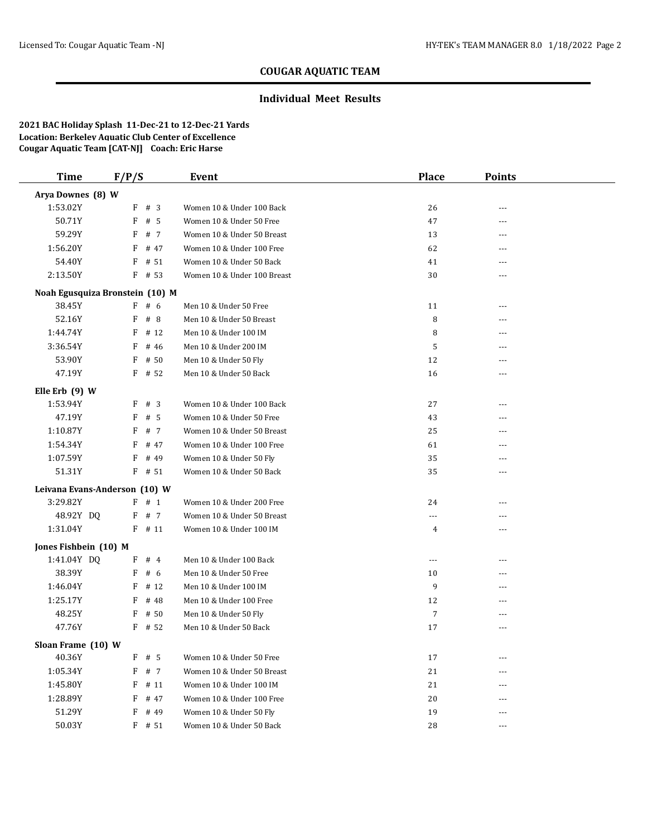#### **Individual Meet Results**

| <b>Time</b>                     | F/P/S |          | <b>Event</b>                | <b>Place</b>         | <b>Points</b> |  |
|---------------------------------|-------|----------|-----------------------------|----------------------|---------------|--|
| Arya Downes (8) W               |       |          |                             |                      |               |  |
| 1:53.02Y                        |       | $F$ # 3  | Women 10 & Under 100 Back   | 26                   |               |  |
| 50.71Y                          | F     | # 5      | Women 10 & Under 50 Free    | 47                   | ---           |  |
| 59.29Y                          | F     | # 7      | Women 10 & Under 50 Breast  | 13                   | ---           |  |
| 1:56.20Y                        | F     | # 47     | Women 10 & Under 100 Free   | 62                   | ---           |  |
| 54.40Y                          | F     | # 51     | Women 10 & Under 50 Back    | 41                   |               |  |
| 2:13.50Y                        |       | $F$ # 53 | Women 10 & Under 100 Breast | 30                   | ---           |  |
| Noah Egusquiza Bronstein (10) M |       |          |                             |                      |               |  |
| 38.45Y                          |       | F # 6    | Men 10 & Under 50 Free      | 11                   | ---           |  |
| 52.16Y                          | F     | #8       | Men 10 & Under 50 Breast    | 8                    |               |  |
| 1:44.74Y                        | F     | # 12     | Men 10 & Under 100 IM       | 8                    |               |  |
| 3:36.54Y                        | F     | # 46     | Men 10 & Under 200 IM       | 5                    | ---           |  |
| 53.90Y                          | F     | # 50     | Men 10 & Under 50 Fly       | 12                   |               |  |
| 47.19Y                          |       | $F$ # 52 | Men 10 & Under 50 Back      | 16                   | ---           |  |
| Elle Erb (9) W                  |       |          |                             |                      |               |  |
| 1:53.94Y                        |       | F # 3    | Women 10 & Under 100 Back   | 27                   | ---           |  |
| 47.19Y                          | F     | # 5      | Women 10 & Under 50 Free    | 43                   | ---           |  |
| 1:10.87Y                        | F     | # 7      | Women 10 & Under 50 Breast  | 25                   | ---           |  |
| 1:54.34Y                        | F     | # 47     | Women 10 & Under 100 Free   | 61                   | ---           |  |
| 1:07.59Y                        | F     | # 49     | Women 10 & Under 50 Fly     | 35                   | ---           |  |
| 51.31Y                          |       | $F$ # 51 | Women 10 & Under 50 Back    | 35                   | ---           |  |
| Leivana Evans-Anderson (10) W   |       |          |                             |                      |               |  |
| 3:29.82Y                        |       | F # 1    | Women 10 & Under 200 Free   | 24                   | ---           |  |
| 48.92Y DQ                       | F     | # 7      | Women 10 & Under 50 Breast  | ---                  | ---           |  |
| 1:31.04Y                        |       | $F$ # 11 | Women 10 & Under 100 IM     | 4                    | ---           |  |
| Jones Fishbein (10) M           |       |          |                             |                      |               |  |
| 1:41.04Y DQ                     | F     | #4       | Men 10 & Under 100 Back     | $\sim$ $\sim$ $\sim$ | ---           |  |
| 38.39Y                          | F     | # 6      | Men 10 & Under 50 Free      | 10                   | ---           |  |
| 1:46.04Y                        | F     | # 12     | Men 10 & Under 100 IM       | 9                    |               |  |
| 1:25.17Y                        | F     | # 48     | Men 10 & Under 100 Free     | 12                   | ---           |  |
| 48.25Y                          | F     | # 50     | Men 10 & Under 50 Fly       | $\overline{7}$       | ---           |  |
| 47.76Y                          |       | $F$ # 52 | Men 10 & Under 50 Back      | 17                   |               |  |
| Sloan Frame (10) W              |       |          |                             |                      |               |  |
| 40.36Y                          |       | $F$ # 5  | Women 10 & Under 50 Free    | 17                   |               |  |
| 1:05.34Y                        | F     | # 7      | Women 10 & Under 50 Breast  | 21                   | ---           |  |
| 1:45.80Y                        | F     | # 11     | Women 10 & Under 100 IM     | 21                   | ---           |  |
| 1:28.89Y                        | F     | # 47     | Women 10 & Under 100 Free   | 20                   | ---           |  |
| 51.29Y                          | F     | # 49     | Women 10 & Under 50 Fly     | 19                   | ---           |  |
| 50.03Y                          |       | $F$ # 51 | Women 10 & Under 50 Back    | 28                   | $---$         |  |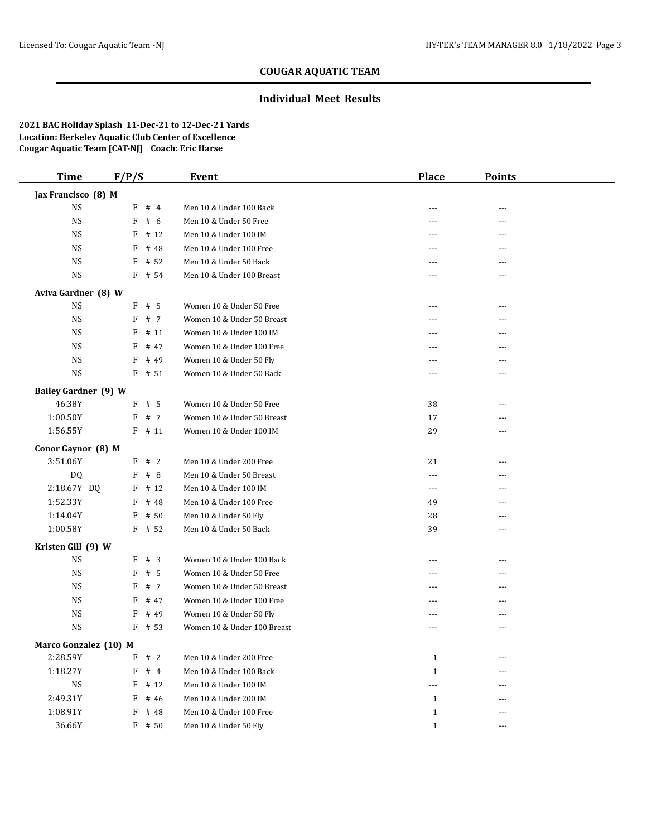## **Individual Meet Results**

| <b>Time</b>                 | F/P/S |          | <b>Event</b>                | <b>Place</b>   | <b>Points</b> |  |
|-----------------------------|-------|----------|-----------------------------|----------------|---------------|--|
| Jax Francisco (8) M         |       |          |                             |                |               |  |
| <b>NS</b>                   |       | F # 4    | Men 10 & Under 100 Back     | ---            |               |  |
| <b>NS</b>                   | F     | # 6      | Men 10 & Under 50 Free      | $---$          | ---           |  |
| <b>NS</b>                   | F     | # 12     | Men 10 & Under 100 IM       | ---            | ---           |  |
| <b>NS</b>                   | F     | # 48     | Men 10 & Under 100 Free     | $---$          | ---           |  |
| <b>NS</b>                   | F     | # 52     | Men 10 & Under 50 Back      | ---            | ---           |  |
| <b>NS</b>                   |       | F # 54   | Men 10 & Under 100 Breast   | $---$          | ---           |  |
| Aviva Gardner (8) W         |       |          |                             |                |               |  |
| <b>NS</b>                   | F     | # 5      | Women 10 & Under 50 Free    | ---            | ---           |  |
| <b>NS</b>                   | F     | # 7      | Women 10 & Under 50 Breast  |                |               |  |
| <b>NS</b>                   | F     | # 11     | Women 10 & Under 100 IM     | ---            |               |  |
| <b>NS</b>                   | F     | # 47     | Women 10 & Under 100 Free   | $---$          | ---           |  |
| <b>NS</b>                   | F     | # 49     | Women 10 & Under 50 Fly     | ---            |               |  |
| <b>NS</b>                   |       | $F$ # 51 | Women 10 & Under 50 Back    | $\frac{1}{2}$  | $- - -$       |  |
| <b>Bailey Gardner (9) W</b> |       |          |                             |                |               |  |
| 46.38Y                      |       | $F$ # 5  | Women 10 & Under 50 Free    | 38             | ---           |  |
| 1:00.50Y                    | F     | # 7      | Women 10 & Under 50 Breast  | 17             | ---           |  |
| 1:56.55Y                    |       | $F$ # 11 | Women 10 & Under 100 IM     | 29             | ---           |  |
| Conor Gaynor (8) M          |       |          |                             |                |               |  |
| 3:51.06Y                    |       | F # 2    | Men 10 & Under 200 Free     | 21             |               |  |
| DQ                          | F     | #8       | Men 10 & Under 50 Breast    | $\overline{a}$ | ---           |  |
| 2:18.67Y DQ                 | F     | # 12     | Men 10 & Under 100 IM       | $\cdots$       |               |  |
| 1:52.33Y                    | F     | # 48     | Men 10 & Under 100 Free     | 49             | ---           |  |
| 1:14.04Y                    | F     | # 50     | Men 10 & Under 50 Fly       | 28             | ---           |  |
| 1:00.58Y                    |       | $F$ # 52 | Men 10 & Under 50 Back      | 39             | ---           |  |
| Kristen Gill (9) W          |       |          |                             |                |               |  |
| <b>NS</b>                   | F     | # 3      | Women 10 & Under 100 Back   | $---$          | ---           |  |
| <b>NS</b>                   | F     | # $5$    | Women 10 & Under 50 Free    | $\frac{1}{2}$  | ---           |  |
| <b>NS</b>                   | F     | # 7      | Women 10 & Under 50 Breast  | ---            |               |  |
| <b>NS</b>                   | F     | # 47     | Women 10 & Under 100 Free   | $---$          | ---           |  |
| <b>NS</b>                   | F     | # 49     | Women 10 & Under 50 Fly     | ---            | ---           |  |
| <b>NS</b>                   | F     | # 53     | Women 10 & Under 100 Breast | ---            |               |  |
| Marco Gonzalez (10) M       |       |          |                             |                |               |  |
| 2:28.59Y                    |       | F # 2    | Men 10 & Under 200 Free     | $\mathbf{1}$   |               |  |
| 1:18.27Y                    | F     | #4       | Men 10 & Under 100 Back     | $\mathbf{1}$   | ---           |  |
| <b>NS</b>                   | F     | # 12     | Men 10 & Under 100 IM       | ---            |               |  |
| 2:49.31Y                    | F     | # 46     | Men 10 & Under 200 IM       | $\mathbf{1}$   |               |  |
| 1:08.91Y                    | F     | # 48     | Men 10 & Under 100 Free     | $\mathbf{1}$   | ---           |  |
| 36.66Y                      |       | F # 50   | Men 10 & Under 50 Fly       | $\mathbf{1}$   | $---$         |  |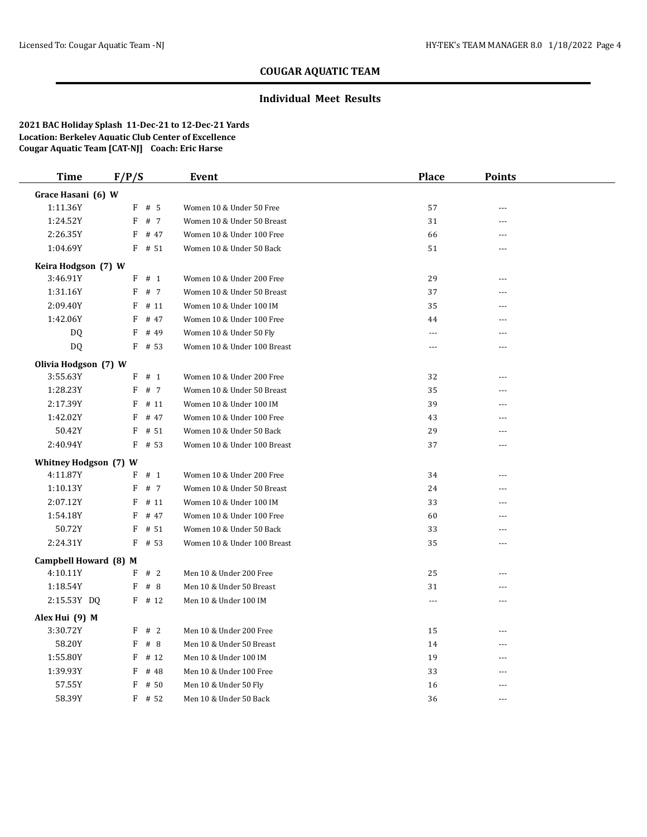### **Individual Meet Results**

| <b>Time</b>           | F/P/S     | Event                       | <b>Place</b>   | <b>Points</b>  |  |
|-----------------------|-----------|-----------------------------|----------------|----------------|--|
| Grace Hasani (6) W    |           |                             |                |                |  |
| 1:11.36Y              | $F$ # 5   | Women 10 & Under 50 Free    | 57             | ---            |  |
| 1:24.52Y              | F # 7     | Women 10 & Under 50 Breast  | 31             | $\sim$ $\sim$  |  |
| 2:26.35Y              | $F$ # 47  | Women 10 & Under 100 Free   | 66             | $- - -$        |  |
| 1:04.69Y              | $F$ # 51  | Women 10 & Under 50 Back    | 51             | $\sim$ $\sim$  |  |
| Keira Hodgson (7) W   |           |                             |                |                |  |
| 3:46.91Y              | F # 1     | Women 10 & Under 200 Free   | 29             | $\overline{a}$ |  |
| 1:31.16Y              | F # 7     | Women 10 & Under 50 Breast  | 37             | $\sim$ $\sim$  |  |
| 2:09.40Y              | F<br># 11 | Women 10 & Under 100 IM     | 35             | $\sim$ $\sim$  |  |
| 1:42.06Y              | F<br># 47 | Women 10 & Under 100 Free   | 44             | $- - -$        |  |
| DQ                    | F<br># 49 | Women 10 & Under 50 Fly     | $\overline{a}$ | $- - -$        |  |
| DQ.                   | $F$ # 53  | Women 10 & Under 100 Breast | $---$          | $---$          |  |
| Olivia Hodgson (7) W  |           |                             |                |                |  |
| 3:55.63Y              | $F$ # 1   | Women 10 & Under 200 Free   | 32             | $-$            |  |
| 1:28.23Y              | F # 7     | Women 10 & Under 50 Breast  | 35             | ---            |  |
| 2:17.39Y              | F<br># 11 | Women 10 & Under 100 IM     | 39             | $-$            |  |
| 1:42.02Y              | F<br># 47 | Women 10 & Under 100 Free   | 43             | ---            |  |
| 50.42Y                | # 51<br>F | Women 10 & Under 50 Back    | 29             | $-$            |  |
| 2:40.94Y              | $F$ # 53  | Women 10 & Under 100 Breast | 37             | $- - -$        |  |
| Whitney Hodgson (7) W |           |                             |                |                |  |
| 4:11.87Y              | $F$ # 1   | Women 10 & Under 200 Free   | 34             | $\sim$ $\sim$  |  |
| 1:10.13Y              | $F$ # 7   | Women 10 & Under 50 Breast  | 24             | ---            |  |
| 2:07.12Y              | F<br># 11 | Women 10 & Under 100 IM     | 33             | $- - -$        |  |
| 1:54.18Y              | F<br># 47 | Women 10 & Under 100 Free   | 60             | $- - -$        |  |
| 50.72Y                | F<br># 51 | Women 10 & Under 50 Back    | 33             | $- - -$        |  |
| 2:24.31Y              | $F$ # 53  | Women 10 & Under 100 Breast | 35             | $- - -$        |  |
| Campbell Howard (8) M |           |                             |                |                |  |
| 4:10.11Y              | F # 2     | Men 10 & Under 200 Free     | 25             | $-$            |  |
| 1:18.54Y              | #8<br>F   | Men 10 & Under 50 Breast    | 31             | ---            |  |
| 2:15.53Y DQ           | $F$ # 12  | Men 10 & Under 100 IM       | $---$          | $- - -$        |  |
| Alex Hui (9) M        |           |                             |                |                |  |
| 3:30.72Y              | F # 2     | Men 10 & Under 200 Free     | 15             | $- - -$        |  |
| 58.20Y                | F<br># 8  | Men 10 & Under 50 Breast    | 14             | $\sim$ $\sim$  |  |
| 1:55.80Y              | F<br># 12 | Men 10 & Under 100 IM       | 19             | $- - -$        |  |
| 1:39.93Y              | F<br># 48 | Men 10 & Under 100 Free     | 33             | $\sim$ $\sim$  |  |
| 57.55Y                | F<br># 50 | Men 10 & Under 50 Fly       | 16             | ---            |  |
| 58.39Y                | $F$ # 52  | Men 10 & Under 50 Back      | 36             | $- - -$        |  |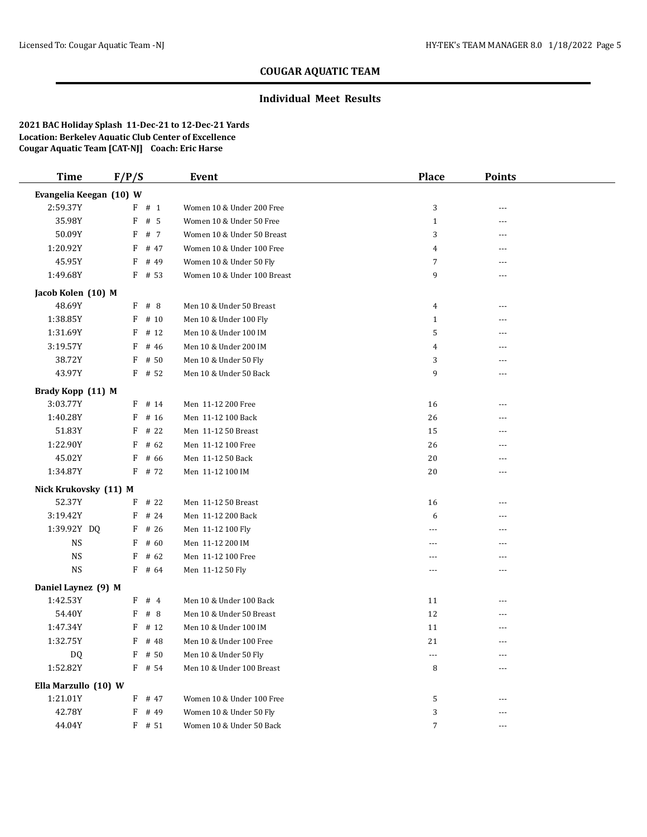#### **Individual Meet Results**

| <b>Time</b>             | F/P/S     | Event                       | <b>Place</b> | <b>Points</b> |  |
|-------------------------|-----------|-----------------------------|--------------|---------------|--|
| Evangelia Keegan (10) W |           |                             |              |               |  |
| 2:59.37Y                | F # 1     | Women 10 & Under 200 Free   | 3            | ---           |  |
| 35.98Y                  | $F$ # 5   | Women 10 & Under 50 Free    | $\mathbf{1}$ | ---           |  |
| 50.09Y                  | F # 7     | Women 10 & Under 50 Breast  | 3            |               |  |
| 1:20.92Y                | $F$ # 47  | Women 10 & Under 100 Free   | 4            | $---$         |  |
| 45.95Y                  | F<br># 49 | Women 10 & Under 50 Fly     | 7            | ---           |  |
| 1:49.68Y                | $F$ # 53  | Women 10 & Under 100 Breast | 9            | ---           |  |
| Jacob Kolen (10) M      |           |                             |              |               |  |
| 48.69Y                  | $F$ # 8   | Men 10 & Under 50 Breast    | 4            | ---           |  |
| 1:38.85Y                | $F$ # 10  | Men 10 & Under 100 Fly      | $\mathbf{1}$ | ---           |  |
| 1:31.69Y                | $F$ # 12  | Men 10 & Under 100 IM       | 5            |               |  |
| 3:19.57Y                | $F$ # 46  | Men 10 & Under 200 IM       | 4            |               |  |
| 38.72Y                  | F # 50    | Men 10 & Under 50 Fly       | 3            | ---           |  |
| 43.97Y                  | $F$ # 52  | Men 10 & Under 50 Back      | 9            | $- - -$       |  |
| Brady Kopp (11) M       |           |                             |              |               |  |
| 3:03.77Y                | $F$ # 14  | Men 11-12 200 Free          | 16           | $---$         |  |
| 1:40.28Y                | F<br># 16 | Men 11-12 100 Back          | 26           | ---           |  |
| 51.83Y                  | F<br># 22 | Men 11-12 50 Breast         | 15           |               |  |
| 1:22.90Y                | F<br># 62 | Men 11-12 100 Free          | 26           | ---           |  |
| 45.02Y                  | F<br># 66 | Men 11-12 50 Back           | 20           | ---           |  |
| 1:34.87Y                | F # 72    | Men 11-12 100 IM            | 20           | $---$         |  |
| Nick Krukovsky (11) M   |           |                             |              |               |  |
| 52.37Y                  | $F$ # 22  | Men 11-12 50 Breast         | 16           | $---$         |  |
| 3:19.42Y                | # 24<br>F | Men 11-12 200 Back          | 6            | ---           |  |
| 1:39.92Y DQ             | $F$ # 26  | Men 11-12 100 Fly           | ---          | ---           |  |
| NS                      | $F$ # 60  | Men 11-12 200 IM            | $---$        | $- - -$       |  |
| <b>NS</b>               | $F$ # 62  | Men 11-12 100 Free          | $---$        | ---           |  |
| <b>NS</b>               | $F$ # 64  | Men 11-12 50 Fly            | $---$        | $- - -$       |  |
| Daniel Laynez (9) M     |           |                             |              |               |  |
| 1:42.53Y                | $F$ # 4   | Men 10 & Under 100 Back     | 11           | ---           |  |
| 54.40Y                  | F # 8     | Men 10 & Under 50 Breast    | 12           | ---           |  |
| 1:47.34Y                | F<br># 12 | Men 10 & Under 100 IM       | 11           |               |  |
| 1:32.75Y                | F # 48    | Men 10 & Under 100 Free     | 21           | ---           |  |
| DQ                      | $F$ # 50  | Men 10 & Under 50 Fly       | ---          |               |  |
| 1:52.82Y                | F # 54    | Men 10 & Under 100 Breast   | 8            | ---           |  |
| Ella Marzullo (10) W    |           |                             |              |               |  |
| 1:21.01Y                | $F$ # 47  | Women 10 & Under 100 Free   | 5            | $---$         |  |
| 42.78Y                  | F # 49    | Women 10 & Under 50 Fly     | 3            | ---           |  |
| 44.04Y                  | $F$ # 51  | Women 10 & Under 50 Back    | 7            | $---$         |  |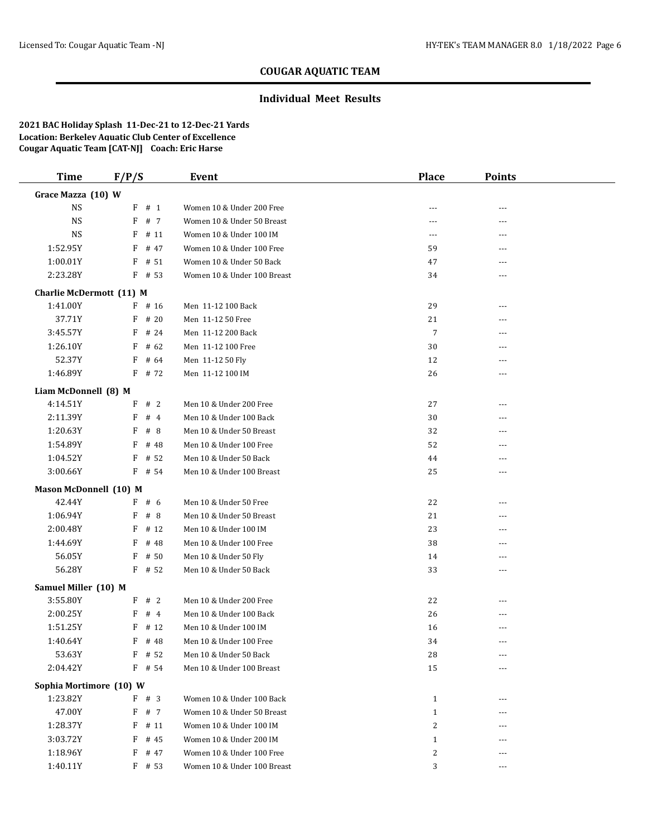## **Individual Meet Results**

| <b>Time</b>                     | F/P/S     | Event                       | <b>Place</b>   | <b>Points</b>  |  |
|---------------------------------|-----------|-----------------------------|----------------|----------------|--|
| Grace Mazza (10) W              |           |                             |                |                |  |
| <b>NS</b>                       | $F$ # 1   | Women 10 & Under 200 Free   |                | ---            |  |
| <b>NS</b>                       | F # 7     | Women 10 & Under 50 Breast  | ---            | ---            |  |
| <b>NS</b>                       | $F$ # 11  | Women 10 & Under 100 IM     | ---            | ---            |  |
| 1:52.95Y                        | $F$ # 47  | Women 10 & Under 100 Free   | 59             | $---$          |  |
| 1:00.01Y                        | # 51<br>F | Women 10 & Under 50 Back    | 47             | ---            |  |
| 2:23.28Y                        | $F$ # 53  | Women 10 & Under 100 Breast | 34             | ---            |  |
| <b>Charlie McDermott (11) M</b> |           |                             |                |                |  |
| 1:41.00Y                        | $F$ # 16  | Men 11-12 100 Back          | 29             | $\overline{a}$ |  |
| 37.71Y                          | $F$ # 20  | Men 11-12 50 Free           | 21             | ---            |  |
| 3:45.57Y                        | $F$ # 24  | Men 11-12 200 Back          | $\overline{7}$ |                |  |
| 1:26.10Y                        | $F$ # 62  | Men 11-12 100 Free          | 30             | $---$          |  |
| 52.37Y                          | $F$ # 64  | Men 11-12 50 Fly            | 12             | ---            |  |
| 1:46.89Y                        | F # 72    | Men 11-12 100 IM            | 26             | $- - -$        |  |
| Liam McDonnell (8) M            |           |                             |                |                |  |
| 4:14.51Y                        | F # 2     | Men 10 & Under 200 Free     | 27             | $---$          |  |
| 2:11.39Y                        | F<br>#4   | Men 10 & Under 100 Back     | 30             | ---            |  |
| 1:20.63Y                        | F<br>#8   | Men 10 & Under 50 Breast    | 32             |                |  |
| 1:54.89Y                        | F<br># 48 | Men 10 & Under 100 Free     | 52             | ---            |  |
| 1:04.52Y                        | # 52<br>F | Men 10 & Under 50 Back      | 44             | ---            |  |
| 3:00.66Y                        | F # 54    | Men 10 & Under 100 Breast   | 25             | $- - -$        |  |
| <b>Mason McDonnell (10) M</b>   |           |                             |                |                |  |
| 42.44Y                          | F # 6     | Men 10 & Under 50 Free      | 22             | ---            |  |
| 1:06.94Y                        | F<br># 8  | Men 10 & Under 50 Breast    | 21             | ---            |  |
| 2:00.48Y                        | $F$ # 12  | Men 10 & Under 100 IM       | 23             |                |  |
| 1:44.69Y                        | $F$ # 48  | Men 10 & Under 100 Free     | 38             | ---            |  |
| 56.05Y                          | $F$ # 50  | Men 10 & Under 50 Fly       | 14             |                |  |
| 56.28Y                          | $F$ # 52  | Men 10 & Under 50 Back      | 33             | $- - -$        |  |
| Samuel Miller (10) M            |           |                             |                |                |  |
| 3:55.80Y                        | F # 2     | Men 10 & Under 200 Free     | 22             | $---$          |  |
| 2:00.25Y                        | F # 4     | Men 10 & Under 100 Back     | 26             | ---            |  |
| 1:51.25Y                        | F<br># 12 | Men 10 & Under 100 IM       | 16             |                |  |
| 1:40.64Y                        | $F$ # 48  | Men 10 & Under 100 Free     | 34             | ---            |  |
| 53.63Y                          | $F$ # 52  | Men 10 & Under 50 Back      | 28             |                |  |
| 2:04.42Y                        | $F$ # 54  | Men 10 & Under 100 Breast   | 15             | ---            |  |
| Sophia Mortimore (10) W         |           |                             |                |                |  |
| 1:23.82Y                        | F # 3     | Women 10 & Under 100 Back   | $\mathbf{1}$   | $---$          |  |
| 47.00Y                          | F # 7     | Women 10 & Under 50 Breast  | $\mathbf{1}$   | ---            |  |
| 1:28.37Y                        | $F$ # 11  | Women 10 & Under 100 IM     | 2              | ---            |  |
| 3:03.72Y                        | $F$ # 45  | Women 10 & Under 200 IM     | $\mathbf{1}$   | ---            |  |
| 1:18.96Y                        | F # 47    | Women 10 & Under 100 Free   | 2              |                |  |
| 1:40.11Y                        | $F$ # 53  | Women 10 & Under 100 Breast | 3              | $---$          |  |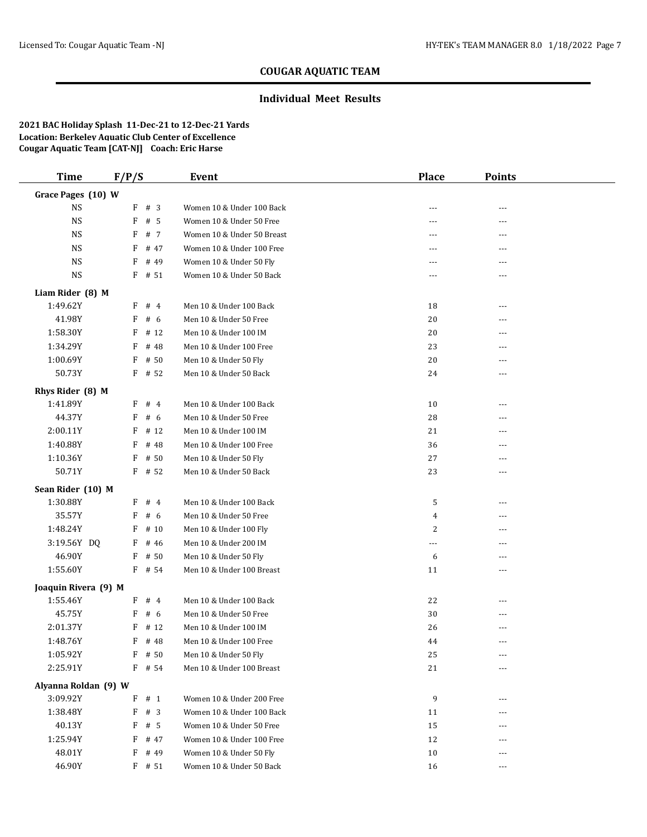## **Individual Meet Results**

| <b>Time</b>          | F/P/S |          | <b>Event</b>               | <b>Place</b> | <b>Points</b> |  |
|----------------------|-------|----------|----------------------------|--------------|---------------|--|
| Grace Pages (10) W   |       |          |                            |              |               |  |
| <b>NS</b>            |       | F # 3    | Women 10 & Under 100 Back  | ---          | ---           |  |
| <b>NS</b>            |       | $F$ # 5  | Women 10 & Under 50 Free   | $---$        | $---$         |  |
| <b>NS</b>            | F     | # 7      | Women 10 & Under 50 Breast | ---          | ---           |  |
| <b>NS</b>            | F     | # 47     | Women 10 & Under 100 Free  | ---          | ---           |  |
| <b>NS</b>            | F     | # 49     | Women 10 & Under 50 Fly    | ---          | $- - -$       |  |
| <b>NS</b>            |       | $F$ # 51 | Women 10 & Under 50 Back   | ---          | ---           |  |
| Liam Rider (8) M     |       |          |                            |              |               |  |
| 1:49.62Y             |       | F # 4    | Men 10 & Under 100 Back    | 18           | ---           |  |
| 41.98Y               | F     | # 6      | Men 10 & Under 50 Free     | 20           | ---           |  |
| 1:58.30Y             |       | $F$ # 12 | Men 10 & Under 100 IM      | 20           | ---           |  |
| 1:34.29Y             | F     | # 48     | Men 10 & Under 100 Free    | 23           |               |  |
| 1:00.69Y             | F     | # 50     | Men 10 & Under 50 Fly      | 20           | ---           |  |
| 50.73Y               |       | $F$ # 52 | Men 10 & Under 50 Back     | 24           | ---           |  |
| Rhys Rider (8) M     |       |          |                            |              |               |  |
| 1:41.89Y             |       | F # 4    | Men 10 & Under 100 Back    | 10           | ---           |  |
| 44.37Y               | F     | # 6      | Men 10 & Under 50 Free     | 28           | $---$         |  |
| 2:00.11Y             | F     | # 12     | Men 10 & Under 100 IM      | 21           |               |  |
| 1:40.88Y             | F     | # 48     | Men 10 & Under 100 Free    | 36           | ---           |  |
| 1:10.36Y             | F     | # 50     | Men 10 & Under 50 Fly      | 27           | $---$         |  |
| 50.71Y               |       | $F$ # 52 | Men 10 & Under 50 Back     | 23           | ---           |  |
| Sean Rider (10) M    |       |          |                            |              |               |  |
| 1:30.88Y             |       | F # 4    | Men 10 & Under 100 Back    | 5            | ---           |  |
| 35.57Y               | F     | # 6      | Men 10 & Under 50 Free     | 4            | ---           |  |
| 1:48.24Y             |       | $F$ # 10 | Men 10 & Under 100 Fly     | 2            | ---           |  |
| 3:19.56Y DQ          |       | $F$ # 46 | Men 10 & Under 200 IM      | ---          | $---$         |  |
| 46.90Y               |       | $F$ # 50 | Men 10 & Under 50 Fly      | 6            | ---           |  |
| 1:55.60Y             |       | $F$ # 54 | Men 10 & Under 100 Breast  | 11           | ---           |  |
| Joaquin Rivera (9) M |       |          |                            |              |               |  |
| 1:55.46Y             |       | F # 4    | Men 10 & Under 100 Back    | 22           |               |  |
| 45.75Y               | F     | # 6      | Men 10 & Under 50 Free     | 30           | ---           |  |
| 2:01.37Y             | F     | # 12     | Men 10 & Under 100 IM      | 26           |               |  |
| 1:48.76Y             |       | $F$ # 48 | Men 10 & Under 100 Free    | 44           | $- - -$       |  |
| 1:05.92Y             |       | $F$ # 50 | Men 10 & Under 50 Fly      | 25           | ---           |  |
| 2:25.91Y             |       | F # 54   | Men 10 & Under 100 Breast  | 21           | ---           |  |
| Alyanna Roldan (9) W |       |          |                            |              |               |  |
| 3:09.92Y             |       | $F$ # 1  | Women 10 & Under 200 Free  | 9            | ---           |  |
| 1:38.48Y             |       | $F$ # 3  | Women 10 & Under 100 Back  | 11           | ---           |  |
| 40.13Y               |       | $F$ # 5  | Women 10 & Under 50 Free   | 15           |               |  |
| 1:25.94Y             |       | $F$ # 47 | Women 10 & Under 100 Free  | 12           | ---           |  |
| 48.01Y               |       | $F$ # 49 | Women 10 & Under 50 Fly    | 10           |               |  |
| 46.90Y               |       | $F$ # 51 | Women 10 & Under 50 Back   | 16           | $---$         |  |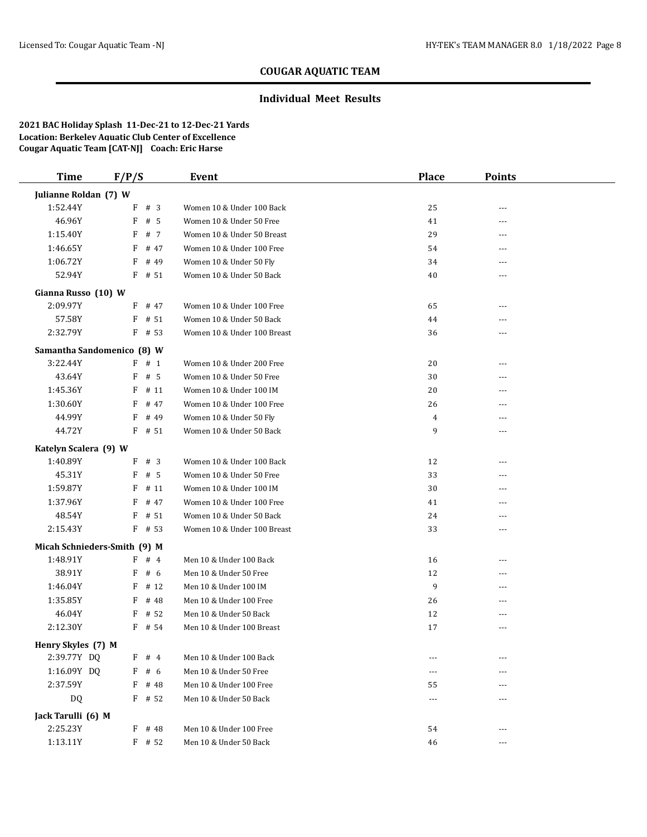## **Individual Meet Results**

| <b>Time</b>                  | F/P/S     | Event                       | <b>Place</b> | <b>Points</b> |  |
|------------------------------|-----------|-----------------------------|--------------|---------------|--|
| Julianne Roldan (7) W        |           |                             |              |               |  |
| 1:52.44Y                     | F # 3     | Women 10 & Under 100 Back   | 25           | ---           |  |
| 46.96Y                       | F<br># 5  | Women 10 & Under 50 Free    | 41           | ---           |  |
| 1:15.40Y                     | F<br># 7  | Women 10 & Under 50 Breast  | 29           | ---           |  |
| 1:46.65Y                     | # 47<br>F | Women 10 & Under 100 Free   | 54           | $- - -$       |  |
| 1:06.72Y                     | # 49<br>F | Women 10 & Under 50 Fly     | 34           | ---           |  |
| 52.94Y                       | $F$ # 51  | Women 10 & Under 50 Back    | 40           | ---           |  |
| Gianna Russo (10) W          |           |                             |              |               |  |
| 2:09.97Y                     | $F$ # 47  | Women 10 & Under 100 Free   | 65           | ---           |  |
| 57.58Y                       | # 51<br>F | Women 10 & Under 50 Back    | 44           |               |  |
| 2:32.79Y                     | $F$ # 53  | Women 10 & Under 100 Breast | 36           |               |  |
| Samantha Sandomenico (8) W   |           |                             |              |               |  |
| 3:22.44Y                     | $F$ # 1   | Women 10 & Under 200 Free   | 20           | ---           |  |
| 43.64Y                       | # 5<br>F  | Women 10 & Under 50 Free    | 30           | $- - -$       |  |
| 1:45.36Y                     | # 11<br>F | Women 10 & Under 100 IM     | 20           | ---           |  |
| 1:30.60Y                     | F<br># 47 | Women 10 & Under 100 Free   | 26           | ---           |  |
| 44.99Y                       | F<br># 49 | Women 10 & Under 50 Fly     | 4            | ---           |  |
| 44.72Y                       | $F$ # 51  | Women 10 & Under 50 Back    | 9            | ---           |  |
| Katelyn Scalera (9) W        |           |                             |              |               |  |
| 1:40.89Y                     | $F$ # 3   | Women 10 & Under 100 Back   | 12           |               |  |
| 45.31Y                       | $F$ # 5   | Women 10 & Under 50 Free    | 33           | $---$         |  |
| 1:59.87Y                     | F<br># 11 | Women 10 & Under 100 IM     | 30           | ---           |  |
| 1:37.96Y                     | F<br># 47 | Women 10 & Under 100 Free   | 41           | $---$         |  |
| 48.54Y                       | # 51<br>F | Women 10 & Under 50 Back    | 24           | ---           |  |
| 2:15.43Y                     | $F$ # 53  | Women 10 & Under 100 Breast | 33           | ---           |  |
| Micah Schnieders-Smith (9) M |           |                             |              |               |  |
| 1:48.91Y                     | #4<br>F   | Men 10 & Under 100 Back     | 16           | $---$         |  |
| 38.91Y                       | #6<br>F   | Men 10 & Under 50 Free      | 12           | $---$         |  |
| 1:46.04Y                     | # 12<br>F | Men 10 & Under 100 IM       | 9            |               |  |
| 1:35.85Y                     | F<br># 48 | Men 10 & Under 100 Free     | 26           | $---$         |  |
| 46.04Y                       | F<br># 52 | Men 10 & Under 50 Back      | 12           | ---           |  |
| 2:12.30Y                     | $F$ # 54  | Men 10 & Under 100 Breast   | 17           | ---           |  |
| Henry Skyles (7) M           |           |                             |              |               |  |
| 2:39.77Y DQ                  | $F$ # 4   | Men 10 & Under 100 Back     |              |               |  |
| 1:16.09Y DQ                  | F # 6     | Men 10 & Under 50 Free      | ---          |               |  |
| 2:37.59Y                     | $F$ # 48  | Men 10 & Under 100 Free     | 55           |               |  |
| DQ                           | $F$ # 52  | Men 10 & Under 50 Back      | ---          | ---           |  |
| Jack Tarulli (6) M           |           |                             |              |               |  |
| 2:25.23Y                     | $F$ # 48  | Men 10 & Under 100 Free     | 54           | $---$         |  |
| 1:13.11Y                     | $F$ # 52  | Men 10 & Under 50 Back      | 46           | $\cdots$      |  |
|                              |           |                             |              |               |  |